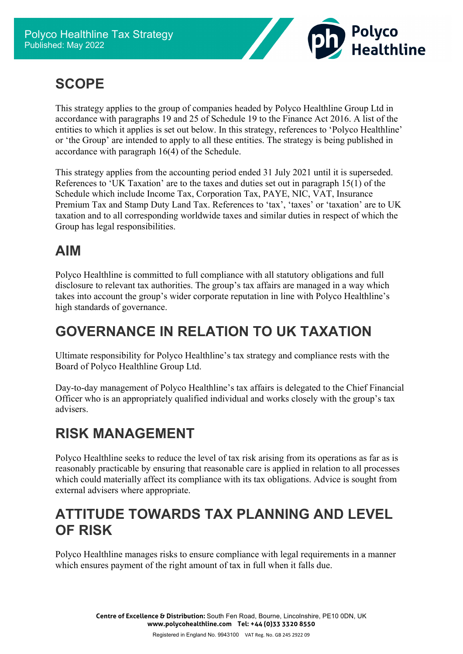

## **SCOPE**

This strategy applies to the group of companies headed by Polyco Healthline Group Ltd in accordance with paragraphs 19 and 25 of Schedule 19 to the Finance Act 2016. A list of the entities to which it applies is set out below. In this strategy, references to 'Polyco Healthline' or 'the Group' are intended to apply to all these entities. The strategy is being published in accordance with paragraph 16(4) of the Schedule.

This strategy applies from the accounting period ended 31 July 2021 until it is superseded. References to 'UK Taxation' are to the taxes and duties set out in paragraph 15(1) of the Schedule which include Income Tax, Corporation Tax, PAYE, NIC, VAT, Insurance Premium Tax and Stamp Duty Land Tax. References to 'tax', 'taxes' or 'taxation' are to UK taxation and to all corresponding worldwide taxes and similar duties in respect of which the Group has legal responsibilities.

### **AIM**

Polyco Healthline is committed to full compliance with all statutory obligations and full disclosure to relevant tax authorities. The group's tax affairs are managed in a way which takes into account the group's wider corporate reputation in line with Polyco Healthline's high standards of governance.

## **GOVERNANCE IN RELATION TO UK TAXATION**

Ultimate responsibility for Polyco Healthline's tax strategy and compliance rests with the Board of Polyco Healthline Group Ltd.

Day-to-day management of Polyco Healthline's tax affairs is delegated to the Chief Financial Officer who is an appropriately qualified individual and works closely with the group's tax advisers.

## **RISK MANAGEMENT**

Polyco Healthline seeks to reduce the level of tax risk arising from its operations as far as is reasonably practicable by ensuring that reasonable care is applied in relation to all processes which could materially affect its compliance with its tax obligations. Advice is sought from external advisers where appropriate.

#### **ATTITUDE TOWARDS TAX PLANNING AND LEVEL OF RISK**

Polyco Healthline manages risks to ensure compliance with legal requirements in a manner which ensures payment of the right amount of tax in full when it falls due.

> **Centre of Excellence & Distribution:** South Fen Road, Bourne, Lincolnshire, PE10 0DN, UK **www.polycohealthline.com Tel: +44 (0)33 3320 8550**